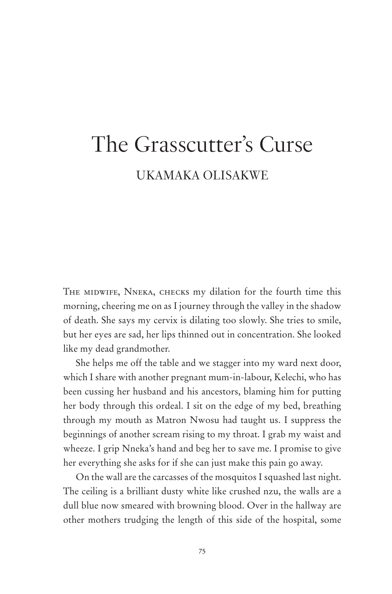## The Grasscutter's Curse UKAMAKA OLISAKWE

THE MIDWIFE, NNEKA, CHECKS my dilation for the fourth time this morning, cheering me on as I journey through the valley in the shadow of death. She says my cervix is dilating too slowly. She tries to smile, but her eyes are sad, her lips thinned out in concentration. She looked like my dead grandmother.

She helps me off the table and we stagger into my ward next door, which I share with another pregnant mum-in-labour, Kelechi, who has been cussing her husband and his ancestors, blaming him for putting her body through this ordeal. I sit on the edge of my bed, breathing through my mouth as Matron Nwosu had taught us. I suppress the beginnings of another scream rising to my throat. I grab my waist and wheeze. I grip Nneka's hand and beg her to save me. I promise to give her everything she asks for if she can just make this pain go away.

On the wall are the carcasses of the mosquitos I squashed last night. The ceiling is a brilliant dusty white like crushed nzu, the walls are a dull blue now smeared with browning blood. Over in the hallway are other mothers trudging the length of this side of the hospital, some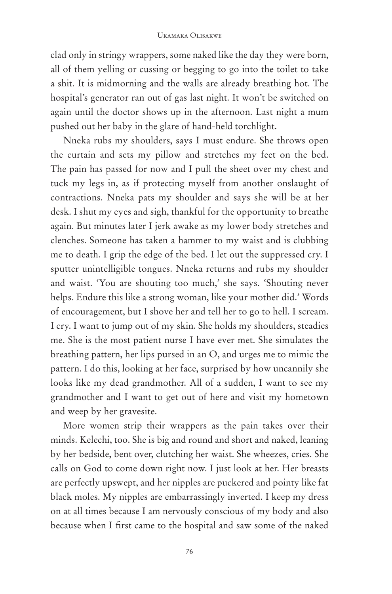clad only in stringy wrappers, some naked like the day they were born, all of them yelling or cussing or begging to go into the toilet to take a shit. It is midmorning and the walls are already breathing hot. The hospital's generator ran out of gas last night. It won't be switched on again until the doctor shows up in the afternoon. Last night a mum pushed out her baby in the glare of hand-held torchlight.

Nneka rubs my shoulders, says I must endure. She throws open the curtain and sets my pillow and stretches my feet on the bed. The pain has passed for now and I pull the sheet over my chest and tuck my legs in, as if protecting myself from another onslaught of contractions. Nneka pats my shoulder and says she will be at her desk. I shut my eyes and sigh, thankful for the opportunity to breathe again. But minutes later I jerk awake as my lower body stretches and clenches. Someone has taken a hammer to my waist and is clubbing me to death. I grip the edge of the bed. I let out the suppressed cry. I sputter unintelligible tongues. Nneka returns and rubs my shoulder and waist. 'You are shouting too much,' she says. 'Shouting never helps. Endure this like a strong woman, like your mother did.' Words of encouragement, but I shove her and tell her to go to hell. I scream. I cry. I want to jump out of my skin. She holds my shoulders, steadies me. She is the most patient nurse I have ever met. She simulates the breathing pattern, her lips pursed in an O, and urges me to mimic the pattern. I do this, looking at her face, surprised by how uncannily she looks like my dead grandmother. All of a sudden, I want to see my grandmother and I want to get out of here and visit my hometown and weep by her gravesite.

More women strip their wrappers as the pain takes over their minds. Kelechi, too. She is big and round and short and naked, leaning by her bedside, bent over, clutching her waist. She wheezes, cries. She calls on God to come down right now. I just look at her. Her breasts are perfectly upswept, and her nipples are puckered and pointy like fat black moles. My nipples are embarrassingly inverted. I keep my dress on at all times because I am nervously conscious of my body and also because when I first came to the hospital and saw some of the naked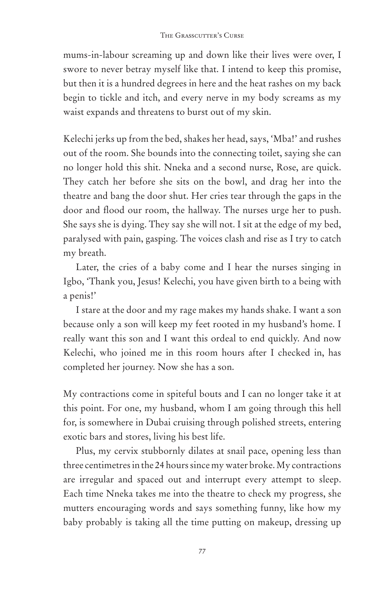mums-in-labour screaming up and down like their lives were over, I swore to never betray myself like that. I intend to keep this promise, but then it is a hundred degrees in here and the heat rashes on my back begin to tickle and itch, and every nerve in my body screams as my waist expands and threatens to burst out of my skin.

Kelechi jerks up from the bed, shakes her head, says, 'Mba!' and rushes out of the room. She bounds into the connecting toilet, saying she can no longer hold this shit. Nneka and a second nurse, Rose, are quick. They catch her before she sits on the bowl, and drag her into the theatre and bang the door shut. Her cries tear through the gaps in the door and flood our room, the hallway. The nurses urge her to push. She says she is dying. They say she will not. I sit at the edge of my bed, paralysed with pain, gasping. The voices clash and rise as I try to catch my breath.

Later, the cries of a baby come and I hear the nurses singing in Igbo, 'Thank you, Jesus! Kelechi, you have given birth to a being with a penis!'

I stare at the door and my rage makes my hands shake. I want a son because only a son will keep my feet rooted in my husband's home. I really want this son and I want this ordeal to end quickly. And now Kelechi, who joined me in this room hours after I checked in, has completed her journey. Now she has a son.

My contractions come in spiteful bouts and I can no longer take it at this point. For one, my husband, whom I am going through this hell for, is somewhere in Dubai cruising through polished streets, entering exotic bars and stores, living his best life.

Plus, my cervix stubbornly dilates at snail pace, opening less than three centimetres in the 24 hours since my water broke. My contractions are irregular and spaced out and interrupt every attempt to sleep. Each time Nneka takes me into the theatre to check my progress, she mutters encouraging words and says something funny, like how my baby probably is taking all the time putting on makeup, dressing up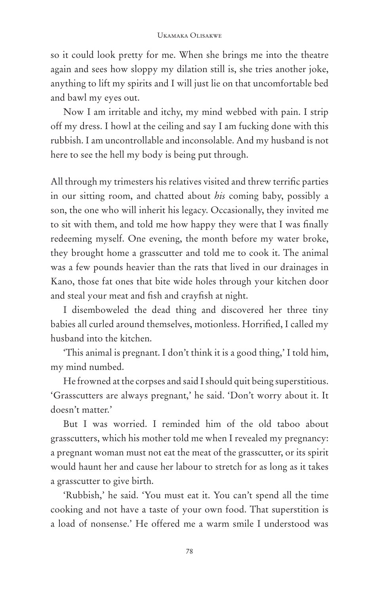so it could look pretty for me. When she brings me into the theatre again and sees how sloppy my dilation still is, she tries another joke, anything to lift my spirits and I will just lie on that uncomfortable bed and bawl my eyes out.

Now I am irritable and itchy, my mind webbed with pain. I strip off my dress. I howl at the ceiling and say I am fucking done with this rubbish. I am uncontrollable and inconsolable. And my husband is not here to see the hell my body is being put through.

All through my trimesters his relatives visited and threw terrific parties in our sitting room, and chatted about *his* coming baby, possibly a son, the one who will inherit his legacy. Occasionally, they invited me to sit with them, and told me how happy they were that I was finally redeeming myself. One evening, the month before my water broke, they brought home a grasscutter and told me to cook it. The animal was a few pounds heavier than the rats that lived in our drainages in Kano, those fat ones that bite wide holes through your kitchen door and steal your meat and fish and crayfish at night.

I disemboweled the dead thing and discovered her three tiny babies all curled around themselves, motionless. Horrified, I called my husband into the kitchen.

'This animal is pregnant. I don't think it is a good thing,' I told him, my mind numbed.

He frowned at the corpses and said I should quit being superstitious. 'Grasscutters are always pregnant,' he said. 'Don't worry about it. It doesn't matter.'

But I was worried. I reminded him of the old taboo about grasscutters, which his mother told me when I revealed my pregnancy: a pregnant woman must not eat the meat of the grasscutter, or its spirit would haunt her and cause her labour to stretch for as long as it takes a grasscutter to give birth.

'Rubbish,' he said. 'You must eat it. You can't spend all the time cooking and not have a taste of your own food. That superstition is a load of nonsense.' He offered me a warm smile I understood was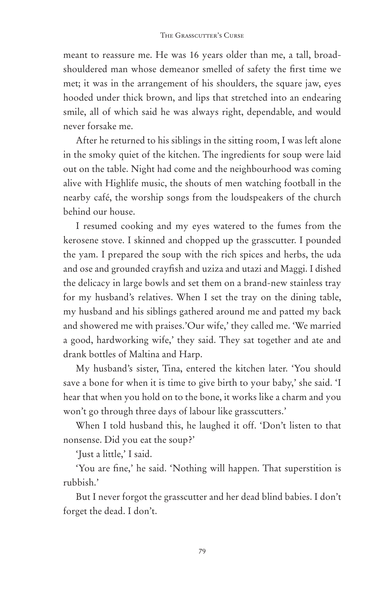meant to reassure me. He was 16 years older than me, a tall, broadshouldered man whose demeanor smelled of safety the first time we met; it was in the arrangement of his shoulders, the square jaw, eyes hooded under thick brown, and lips that stretched into an endearing smile, all of which said he was always right, dependable, and would never forsake me.

After he returned to his siblings in the sitting room, I was left alone in the smoky quiet of the kitchen. The ingredients for soup were laid out on the table. Night had come and the neighbourhood was coming alive with Highlife music, the shouts of men watching football in the nearby café, the worship songs from the loudspeakers of the church behind our house.

I resumed cooking and my eyes watered to the fumes from the kerosene stove. I skinned and chopped up the grasscutter. I pounded the yam. I prepared the soup with the rich spices and herbs, the uda and ose and grounded crayfish and uziza and utazi and Maggi. I dished the delicacy in large bowls and set them on a brand-new stainless tray for my husband's relatives. When I set the tray on the dining table, my husband and his siblings gathered around me and patted my back and showered me with praises.'Our wife,' they called me. 'We married a good, hardworking wife,' they said. They sat together and ate and drank bottles of Maltina and Harp.

My husband's sister, Tina, entered the kitchen later. 'You should save a bone for when it is time to give birth to your baby,' she said. 'I hear that when you hold on to the bone, it works like a charm and you won't go through three days of labour like grasscutters.'

When I told husband this, he laughed it off. 'Don't listen to that nonsense. Did you eat the soup?'

'Just a little,' I said.

'You are fine,' he said. 'Nothing will happen. That superstition is rubbish.'

But I never forgot the grasscutter and her dead blind babies. I don't forget the dead. I don't.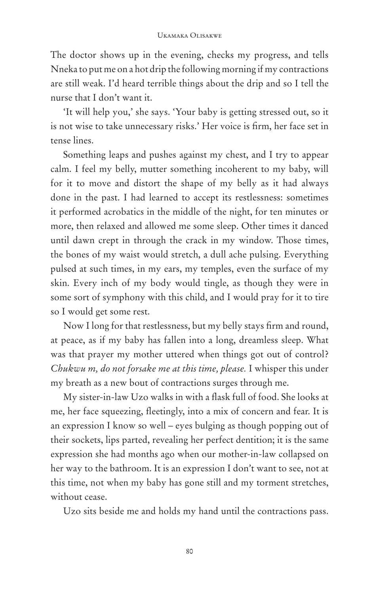The doctor shows up in the evening, checks my progress, and tells Nneka to put me on a hot drip the following morning if my contractions are still weak. I'd heard terrible things about the drip and so I tell the nurse that I don't want it.

'It will help you,' she says. 'Your baby is getting stressed out, so it is not wise to take unnecessary risks.' Her voice is firm, her face set in tense lines.

Something leaps and pushes against my chest, and I try to appear calm. I feel my belly, mutter something incoherent to my baby, will for it to move and distort the shape of my belly as it had always done in the past. I had learned to accept its restlessness: sometimes it performed acrobatics in the middle of the night, for ten minutes or more, then relaxed and allowed me some sleep. Other times it danced until dawn crept in through the crack in my window. Those times, the bones of my waist would stretch, a dull ache pulsing. Everything pulsed at such times, in my ears, my temples, even the surface of my skin. Every inch of my body would tingle, as though they were in some sort of symphony with this child, and I would pray for it to tire so I would get some rest.

Now I long for that restlessness, but my belly stays firm and round, at peace, as if my baby has fallen into a long, dreamless sleep. What was that prayer my mother uttered when things got out of control? *Chukwu m, do not forsake me at this time, please.* I whisper this under my breath as a new bout of contractions surges through me.

My sister-in-law Uzo walks in with a flask full of food. She looks at me, her face squeezing, fleetingly, into a mix of concern and fear. It is an expression I know so well – eyes bulging as though popping out of their sockets, lips parted, revealing her perfect dentition; it is the same expression she had months ago when our mother-in-law collapsed on her way to the bathroom. It is an expression I don't want to see, not at this time, not when my baby has gone still and my torment stretches, without cease.

Uzo sits beside me and holds my hand until the contractions pass.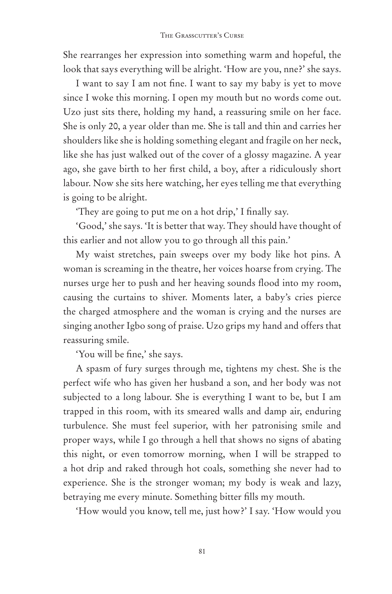She rearranges her expression into something warm and hopeful, the look that says everything will be alright. 'How are you, nne?' she says.

I want to say I am not fine. I want to say my baby is yet to move since I woke this morning. I open my mouth but no words come out. Uzo just sits there, holding my hand, a reassuring smile on her face. She is only 20, a year older than me. She is tall and thin and carries her shoulders like she is holding something elegant and fragile on her neck, like she has just walked out of the cover of a glossy magazine. A year ago, she gave birth to her first child, a boy, after a ridiculously short labour. Now she sits here watching, her eyes telling me that everything is going to be alright.

'They are going to put me on a hot drip,' I finally say.

'Good,' she says. 'It is better that way. They should have thought of this earlier and not allow you to go through all this pain.'

My waist stretches, pain sweeps over my body like hot pins. A woman is screaming in the theatre, her voices hoarse from crying. The nurses urge her to push and her heaving sounds flood into my room, causing the curtains to shiver. Moments later, a baby's cries pierce the charged atmosphere and the woman is crying and the nurses are singing another Igbo song of praise. Uzo grips my hand and offers that reassuring smile.

'You will be fine,' she says.

A spasm of fury surges through me, tightens my chest. She is the perfect wife who has given her husband a son, and her body was not subjected to a long labour. She is everything I want to be, but I am trapped in this room, with its smeared walls and damp air, enduring turbulence. She must feel superior, with her patronising smile and proper ways, while I go through a hell that shows no signs of abating this night, or even tomorrow morning, when I will be strapped to a hot drip and raked through hot coals, something she never had to experience. She is the stronger woman; my body is weak and lazy, betraying me every minute. Something bitter fills my mouth.

'How would you know, tell me, just how?' I say. 'How would you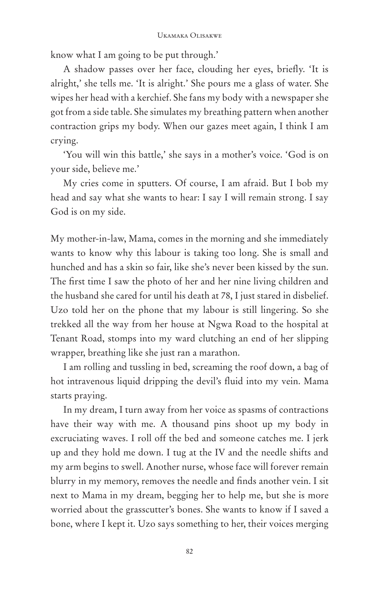know what I am going to be put through.'

A shadow passes over her face, clouding her eyes, briefly. 'It is alright,' she tells me. 'It is alright.' She pours me a glass of water. She wipes her head with a kerchief. She fans my body with a newspaper she got from a side table. She simulates my breathing pattern when another contraction grips my body. When our gazes meet again, I think I am crying.

'You will win this battle,' she says in a mother's voice. 'God is on your side, believe me.'

My cries come in sputters. Of course, I am afraid. But I bob my head and say what she wants to hear: I say I will remain strong. I say God is on my side.

My mother-in-law, Mama, comes in the morning and she immediately wants to know why this labour is taking too long. She is small and hunched and has a skin so fair, like she's never been kissed by the sun. The first time I saw the photo of her and her nine living children and the husband she cared for until his death at 78, I just stared in disbelief. Uzo told her on the phone that my labour is still lingering. So she trekked all the way from her house at Ngwa Road to the hospital at Tenant Road, stomps into my ward clutching an end of her slipping wrapper, breathing like she just ran a marathon.

I am rolling and tussling in bed, screaming the roof down, a bag of hot intravenous liquid dripping the devil's fluid into my vein. Mama starts praying.

In my dream, I turn away from her voice as spasms of contractions have their way with me. A thousand pins shoot up my body in excruciating waves. I roll off the bed and someone catches me. I jerk up and they hold me down. I tug at the IV and the needle shifts and my arm begins to swell. Another nurse, whose face will forever remain blurry in my memory, removes the needle and finds another vein. I sit next to Mama in my dream, begging her to help me, but she is more worried about the grasscutter's bones. She wants to know if I saved a bone, where I kept it. Uzo says something to her, their voices merging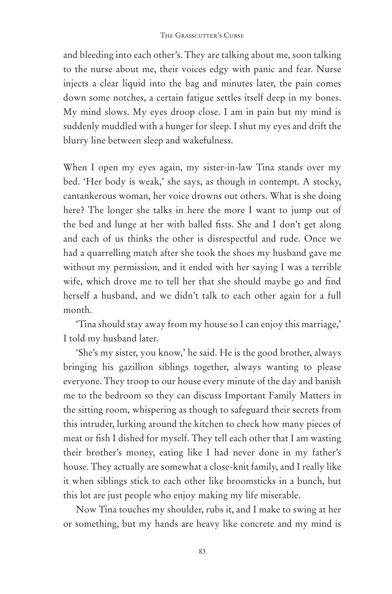and bleeding into each other's. They are talking about me, soon talking to the nurse about me, their voices edgy with panic and fear. Nurse injects a clear liquid into the bag and minutes later, the pain comes down some notches, a certain fatigue settles itself deep in my bones. My mind slows. My eyes droop close. I am in pain but my mind is suddenly muddled with a hunger for sleep. I shut my eyes and drift the blurry line between sleep and wakefulness.

When I open my eyes again, my sister-in-law Tina stands over my bed. 'Her body is weak,' she says, as though in contempt. A stocky, cantankerous woman, her voice drowns out others. What is she doing here? The longer she talks in here the more I want to jump out of the bed and lunge at her with balled fists. She and I don't get along and each of us thinks the other is disrespectful and rude. Once we had a quarrelling match after she took the shoes my husband gave me without my permission, and it ended with her saying I was a terrible wife, which drove me to tell her that she should maybe go and find herself a husband, and we didn't talk to each other again for a full month.

'Tina should stay away from my house so I can enjoy this marriage,' I told my husband later.

'She's my sister, you know,' he said. He is the good brother, always bringing his gazillion siblings together, always wanting to please everyone. They troop to our house every minute of the day and banish me to the bedroom so they can discuss Important Family Matters in the sitting room, whispering as though to safeguard their secrets from this intruder, lurking around the kitchen to check how many pieces of meat or fish I dished for myself. They tell each other that I am wasting their brother's money, eating like I had never done in my father's house. They actually are somewhat a close-knit family, and I really like it when siblings stick to each other like broomsticks in a bunch, but this lot are just people who enjoy making my life miserable.

Now Tina touches my shoulder, rubs it, and I make to swing at her or something, but my hands are heavy like concrete and my mind is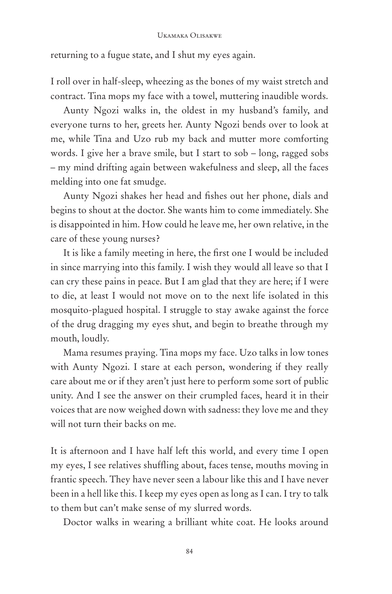returning to a fugue state, and I shut my eyes again.

I roll over in half-sleep, wheezing as the bones of my waist stretch and contract. Tina mops my face with a towel, muttering inaudible words.

Aunty Ngozi walks in, the oldest in my husband's family, and everyone turns to her, greets her. Aunty Ngozi bends over to look at me, while Tina and Uzo rub my back and mutter more comforting words. I give her a brave smile, but I start to sob – long, ragged sobs – my mind drifting again between wakefulness and sleep, all the faces melding into one fat smudge.

Aunty Ngozi shakes her head and fishes out her phone, dials and begins to shout at the doctor. She wants him to come immediately. She is disappointed in him. How could he leave me, her own relative, in the care of these young nurses?

It is like a family meeting in here, the first one I would be included in since marrying into this family. I wish they would all leave so that I can cry these pains in peace. But I am glad that they are here; if I were to die, at least I would not move on to the next life isolated in this mosquito-plagued hospital. I struggle to stay awake against the force of the drug dragging my eyes shut, and begin to breathe through my mouth, loudly.

Mama resumes praying. Tina mops my face. Uzo talks in low tones with Aunty Ngozi. I stare at each person, wondering if they really care about me or if they aren't just here to perform some sort of public unity. And I see the answer on their crumpled faces, heard it in their voices that are now weighed down with sadness: they love me and they will not turn their backs on me.

It is afternoon and I have half left this world, and every time I open my eyes, I see relatives shuffling about, faces tense, mouths moving in frantic speech. They have never seen a labour like this and I have never been in a hell like this. I keep my eyes open as long as I can. I try to talk to them but can't make sense of my slurred words.

Doctor walks in wearing a brilliant white coat. He looks around